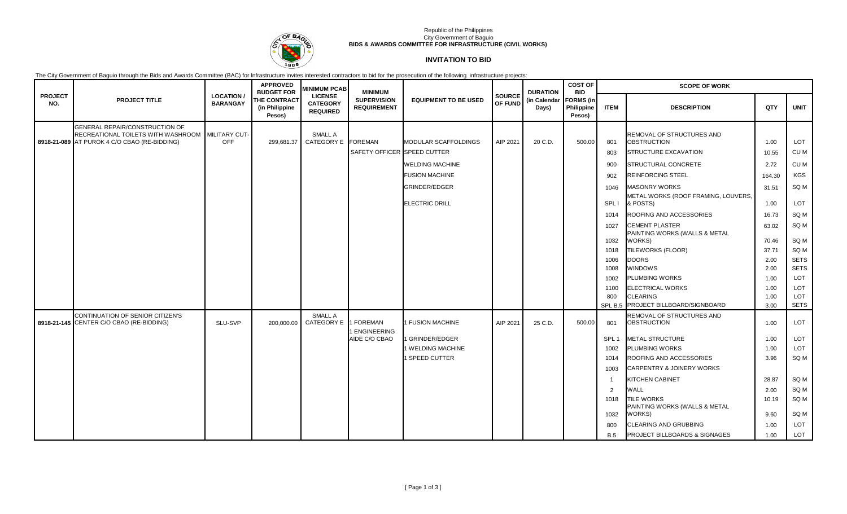

### Republic of the Philippines City Government of Baguio **BIDS & AWARDS COMMITTEE FOR INFRASTRUCTURE (CIVIL WORKS)**

# **INVITATION TO BID**

The City Government of Baguio through the Bids and Awards Committee (BAC) for Infrastructure invites interested contractors to bid for the prosecution of the following infrastructure projects:

|                       |                                                                                                                                    |                                    | <b>APPROVED</b><br><b>BUDGET FOR</b>            | <b>MINIMUM PCAB</b>                                  | <b>MINIMUM</b>                           |                             | <b>SOURCE</b><br><b>OF FUND</b> | <b>DURATION</b>       | <b>COST OF</b><br><b>BID</b><br><b>FORMS</b> (in<br>Philippine<br>Pesos) | <b>SCOPE OF WORK</b> |                                                                         |               |                 |  |
|-----------------------|------------------------------------------------------------------------------------------------------------------------------------|------------------------------------|-------------------------------------------------|------------------------------------------------------|------------------------------------------|-----------------------------|---------------------------------|-----------------------|--------------------------------------------------------------------------|----------------------|-------------------------------------------------------------------------|---------------|-----------------|--|
| <b>PROJECT</b><br>NO. | <b>PROJECT TITLE</b>                                                                                                               | <b>LOCATION</b><br><b>BARANGAY</b> | <b>THE CONTRACT</b><br>(in Philippine<br>Pesos) | <b>LICENSE</b><br><b>CATEGORY</b><br><b>REQUIRED</b> | <b>SUPERVISION</b><br><b>REQUIREMENT</b> | <b>EQUIPMENT TO BE USED</b> |                                 | (in Calendar<br>Days) |                                                                          | <b>ITEM</b>          | <b>DESCRIPTION</b>                                                      | QTY           | <b>UNIT</b>     |  |
|                       | GENERAL REPAIR/CONSTRUCTION OF<br>RECREATIONAL TOILETS WITH WASHROOM MILITARY CUT-<br>8918-21-089 AT PUROK 4 C/O CBAO (RE-BIDDING) | <b>OFF</b>                         | 299,681.37                                      | SMALL A<br>CATEGORY E FOREMAN                        | SAFETY OFFICER SPEED CUTTER              | MODULAR SCAFFOLDINGS        | AIP 2021                        | 20 C.D.               | 500.00                                                                   | 801<br>803           | REMOVAL OF STRUCTURES AND<br><b>OBSTRUCTION</b><br>STRUCTURE EXCAVATION | 1.00<br>10.55 | LOT<br>CU M     |  |
|                       |                                                                                                                                    |                                    |                                                 |                                                      |                                          | <b>WELDING MACHINE</b>      |                                 |                       |                                                                          | 900                  | STRUCTURAL CONCRETE                                                     | 2.72          | CU M            |  |
|                       |                                                                                                                                    |                                    |                                                 |                                                      |                                          | <b>FUSION MACHINE</b>       |                                 |                       |                                                                          | 902                  | <b>REINFORCING STEEL</b>                                                | 164.30        | <b>KGS</b>      |  |
|                       |                                                                                                                                    |                                    |                                                 |                                                      |                                          | <b>GRINDER/EDGER</b>        |                                 |                       |                                                                          |                      | <b>MASONRY WORKS</b>                                                    |               | SQ <sub>M</sub> |  |
|                       |                                                                                                                                    |                                    |                                                 |                                                      |                                          |                             |                                 |                       |                                                                          | 1046                 | METAL WORKS (ROOF FRAMING, LOUVERS,                                     | 31.51         |                 |  |
|                       |                                                                                                                                    |                                    |                                                 |                                                      |                                          | <b>ELECTRIC DRILL</b>       |                                 |                       |                                                                          | SPL I                | & POSTS)                                                                | 1.00          | LOT             |  |
|                       |                                                                                                                                    |                                    |                                                 |                                                      |                                          |                             |                                 |                       |                                                                          | 1014                 | ROOFING AND ACCESSORIES                                                 | 16.73         | SQ M            |  |
|                       |                                                                                                                                    |                                    |                                                 |                                                      |                                          |                             |                                 |                       |                                                                          | 1027                 | <b>CEMENT PLASTER</b>                                                   | 63.02         | SQ M            |  |
|                       |                                                                                                                                    |                                    |                                                 |                                                      |                                          |                             |                                 |                       |                                                                          | 1032                 | PAINTING WORKS (WALLS & METAL<br>WORKS)                                 | 70.46         | SQ M            |  |
|                       |                                                                                                                                    |                                    |                                                 |                                                      |                                          |                             |                                 |                       |                                                                          | 1018                 | TILEWORKS (FLOOR)                                                       | 37.71         | SQ M            |  |
|                       |                                                                                                                                    |                                    |                                                 |                                                      |                                          |                             |                                 |                       |                                                                          | 1006                 | <b>DOORS</b>                                                            | 2.00          | <b>SETS</b>     |  |
|                       |                                                                                                                                    |                                    |                                                 |                                                      |                                          |                             |                                 |                       |                                                                          | 1008                 | <b>WINDOWS</b>                                                          | 2.00          | <b>SETS</b>     |  |
|                       |                                                                                                                                    |                                    |                                                 |                                                      |                                          |                             |                                 |                       |                                                                          | 1002                 | <b>PLUMBING WORKS</b>                                                   | 1.00          | LOT             |  |
|                       |                                                                                                                                    |                                    |                                                 |                                                      |                                          |                             |                                 |                       |                                                                          | 1100                 | <b>ELECTRICAL WORKS</b>                                                 | 1.00          | LOT             |  |
|                       |                                                                                                                                    |                                    |                                                 |                                                      |                                          |                             |                                 |                       |                                                                          | 800                  | <b>CLEARING</b>                                                         | 1.00          | LOT             |  |
|                       |                                                                                                                                    |                                    |                                                 |                                                      |                                          |                             |                                 |                       |                                                                          |                      | SPL B.5 PROJECT BILLBOARD/SIGNBOARD                                     | 3.00          | <b>SETS</b>     |  |
|                       | CONTINUATION OF SENIOR CITIZEN'S<br>8918-21-145 CENTER C/O CBAO (RE-BIDDING)                                                       | SLU-SVP                            | 200,000.00                                      | SMALL A<br><b>CATEGORY E</b>                         | 1 FOREMAN<br>ENGINEERING                 | <b>FUSION MACHINE</b>       | AIP 2021                        | 25 C.D.               | 500.00                                                                   | 801                  | REMOVAL OF STRUCTURES AND<br><b>OBSTRUCTION</b>                         | 1.00          | LOT             |  |
|                       |                                                                                                                                    |                                    |                                                 |                                                      | AIDE C/O CBAO                            | I GRINDER/EDGER             |                                 |                       |                                                                          | SPL <sub>1</sub>     | <b>METAL STRUCTURE</b>                                                  | 1.00          | LOT             |  |
|                       |                                                                                                                                    |                                    |                                                 |                                                      |                                          | 1 WELDING MACHINE           |                                 |                       |                                                                          | 1002                 | <b>PLUMBING WORKS</b>                                                   | 1.00          | LOT             |  |
|                       |                                                                                                                                    |                                    |                                                 |                                                      |                                          | I SPEED CUTTER              |                                 |                       |                                                                          | 1014                 | ROOFING AND ACCESSORIES                                                 | 3.96          | SQ M            |  |
|                       |                                                                                                                                    |                                    |                                                 |                                                      |                                          |                             |                                 |                       |                                                                          | 1003                 | CARPENTRY & JOINERY WORKS                                               |               |                 |  |
|                       |                                                                                                                                    |                                    |                                                 |                                                      |                                          |                             |                                 |                       |                                                                          | - 1                  | <b>KITCHEN CABINET</b>                                                  | 28.87         | SQ M            |  |
|                       |                                                                                                                                    |                                    |                                                 |                                                      |                                          |                             |                                 |                       |                                                                          | $\overline{2}$       | <b>WALL</b>                                                             | 2.00          | SQ M            |  |
|                       |                                                                                                                                    |                                    |                                                 |                                                      |                                          |                             |                                 |                       |                                                                          | 1018                 | <b>TILE WORKS</b><br>PAINTING WORKS (WALLS & METAL                      | 10.19         | SQ M            |  |
|                       |                                                                                                                                    |                                    |                                                 |                                                      |                                          |                             |                                 |                       |                                                                          | 1032                 | WORKS)                                                                  | 9.60          | SQ M            |  |
|                       |                                                                                                                                    |                                    |                                                 |                                                      |                                          |                             |                                 |                       |                                                                          | 800                  | <b>CLEARING AND GRUBBING</b>                                            | 1.00          | LOT             |  |
|                       |                                                                                                                                    |                                    |                                                 |                                                      |                                          |                             |                                 |                       |                                                                          | <b>B.5</b>           | PROJECT BILLBOARDS & SIGNAGES                                           | 1.00          | LOT             |  |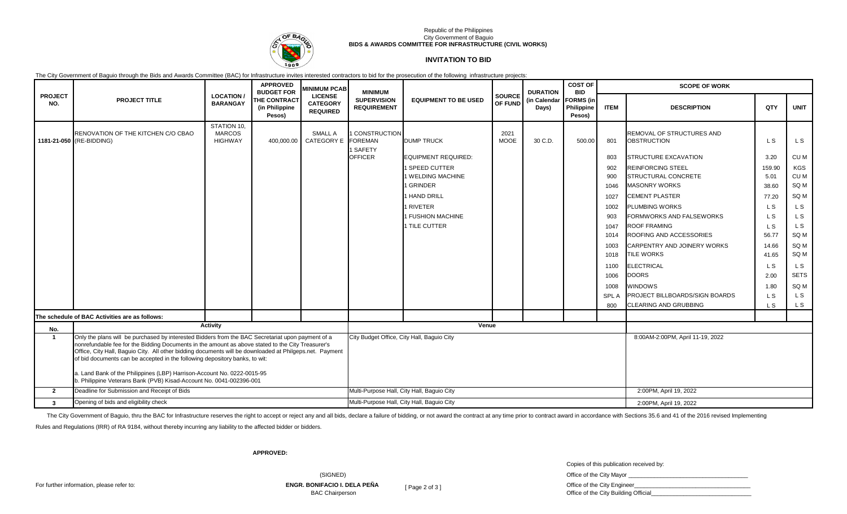

### Republic of the Philippines City Government of Baguio **BIDS & AWARDS COMMITTEE FOR INFRASTRUCTURE (CIVIL WORKS)**

### **INVITATION TO BID**

The City Government of Baguio through the Bids and Awards Committee (BAC) for Infrastructure invites interested contractors to bid for the prosecution of the following infrastructure projects:

| <b>PROJECT</b><br>NO. | <b>PROJECT TITLE</b>                                                                                                                                                                                                                                                                                                                                                                                                                                                                                                                               | <b>BUDGET FOR</b><br><b>LOCATION</b><br><b>BARANGAY</b><br>Pesos) | <b>APPROVED</b>                | <b>MINIMUM PCAB</b><br><b>LICENSE</b><br><b>CATEGORY</b><br><b>REQUIRED</b> | <b>MINIMUM</b><br><b>SUPERVISION</b><br><b>REQUIREMENT</b> | <b>EQUIPMENT TO BE USED</b>                | SOURCE<br>OF FUND   | <b>DURATION</b><br>(in Calendar<br>Days) | <b>COST OF</b><br><b>BID</b><br><b>FORMS</b> (in<br>Philippine<br>Pesos) | <b>SCOPE OF WORK</b> |                                                 |                |                |
|-----------------------|----------------------------------------------------------------------------------------------------------------------------------------------------------------------------------------------------------------------------------------------------------------------------------------------------------------------------------------------------------------------------------------------------------------------------------------------------------------------------------------------------------------------------------------------------|-------------------------------------------------------------------|--------------------------------|-----------------------------------------------------------------------------|------------------------------------------------------------|--------------------------------------------|---------------------|------------------------------------------|--------------------------------------------------------------------------|----------------------|-------------------------------------------------|----------------|----------------|
|                       |                                                                                                                                                                                                                                                                                                                                                                                                                                                                                                                                                    |                                                                   | THE CONTRACT<br>(in Philippine |                                                                             |                                                            |                                            |                     |                                          |                                                                          | <b>ITEM</b>          | <b>DESCRIPTION</b>                              | QTY            | <b>UNIT</b>    |
|                       | RENOVATION OF THE KITCHEN C/O CBAO<br>1181-21-050 (RE-BIDDING)                                                                                                                                                                                                                                                                                                                                                                                                                                                                                     | STATION 10,<br><b>MARCOS</b><br><b>HIGHWAY</b>                    | 400,000.00                     | <b>SMALL A</b><br>CATEGORY E FOREMAN                                        | <b>CONSTRUCTION</b><br>1 SAFETY                            | <b>DUMP TRUCK</b>                          | 2021<br><b>MOOE</b> | 30 C.D.                                  | 500.00                                                                   | 801                  | REMOVAL OF STRUCTURES AND<br><b>OBSTRUCTION</b> | L <sub>S</sub> | L S            |
|                       |                                                                                                                                                                                                                                                                                                                                                                                                                                                                                                                                                    |                                                                   |                                |                                                                             | <b>OFFICER</b>                                             | EQUIPMENT REQUIRED:                        |                     |                                          |                                                                          | 803                  | <b>STRUCTURE EXCAVATION</b>                     | 3.20           | CU M           |
|                       |                                                                                                                                                                                                                                                                                                                                                                                                                                                                                                                                                    |                                                                   |                                |                                                                             |                                                            | I SPEED CUTTER                             |                     |                                          |                                                                          | 902                  | <b>REINFORCING STEEL</b>                        | 159.90         | KGS            |
|                       |                                                                                                                                                                                                                                                                                                                                                                                                                                                                                                                                                    |                                                                   |                                |                                                                             |                                                            | 1 WELDING MACHINE                          |                     |                                          |                                                                          | 900                  | STRUCTURAL CONCRETE                             | 5.01           | CU M           |
|                       |                                                                                                                                                                                                                                                                                                                                                                                                                                                                                                                                                    |                                                                   |                                |                                                                             |                                                            | <b>GRINDER</b>                             |                     |                                          |                                                                          | 1046                 | <b>MASONRY WORKS</b>                            | 38.60          | SQ M           |
|                       |                                                                                                                                                                                                                                                                                                                                                                                                                                                                                                                                                    |                                                                   |                                |                                                                             |                                                            | I HAND DRILL                               |                     |                                          |                                                                          | 1027                 | <b>CEMENT PLASTER</b>                           | 77.20          | SQ M           |
|                       |                                                                                                                                                                                                                                                                                                                                                                                                                                                                                                                                                    |                                                                   |                                |                                                                             |                                                            | 1 RIVETER                                  |                     |                                          |                                                                          | 1002                 | <b>PLUMBING WORKS</b>                           | L S            | L <sub>S</sub> |
|                       |                                                                                                                                                                                                                                                                                                                                                                                                                                                                                                                                                    |                                                                   |                                |                                                                             |                                                            | 1 FUSHION MACHINE                          |                     |                                          |                                                                          | 903                  | FORMWORKS AND FALSEWORKS                        | L S            | L S            |
|                       |                                                                                                                                                                                                                                                                                                                                                                                                                                                                                                                                                    |                                                                   |                                |                                                                             |                                                            | 1 TILE CUTTER                              |                     |                                          |                                                                          | 1047                 | <b>ROOF FRAMING</b>                             | L S            | L S            |
|                       |                                                                                                                                                                                                                                                                                                                                                                                                                                                                                                                                                    |                                                                   |                                |                                                                             |                                                            |                                            |                     |                                          |                                                                          | 1014                 | ROOFING AND ACCESSORIES                         | 56.77          | SQ M           |
|                       |                                                                                                                                                                                                                                                                                                                                                                                                                                                                                                                                                    |                                                                   |                                |                                                                             |                                                            |                                            |                     |                                          |                                                                          | 1003                 | CARPENTRY AND JOINERY WORKS                     | 14.66          | SQ M           |
|                       |                                                                                                                                                                                                                                                                                                                                                                                                                                                                                                                                                    |                                                                   |                                |                                                                             |                                                            |                                            |                     |                                          |                                                                          | 1018                 | <b>TILE WORKS</b>                               | 41.65          | SQ M           |
|                       |                                                                                                                                                                                                                                                                                                                                                                                                                                                                                                                                                    |                                                                   |                                |                                                                             |                                                            |                                            |                     |                                          |                                                                          | 1100                 | <b>ELECTRICAL</b>                               | L <sub>S</sub> | L <sub>S</sub> |
|                       |                                                                                                                                                                                                                                                                                                                                                                                                                                                                                                                                                    |                                                                   |                                |                                                                             |                                                            |                                            |                     |                                          |                                                                          | 1006                 | <b>DOORS</b>                                    | 2.00           | <b>SETS</b>    |
|                       |                                                                                                                                                                                                                                                                                                                                                                                                                                                                                                                                                    |                                                                   |                                |                                                                             |                                                            |                                            |                     |                                          |                                                                          | 1008                 | <b>WINDOWS</b>                                  | 1.80           | SQ M           |
|                       |                                                                                                                                                                                                                                                                                                                                                                                                                                                                                                                                                    |                                                                   |                                |                                                                             |                                                            |                                            |                     |                                          |                                                                          | <b>SPLA</b>          | <b>PROJECT BILLBOARDS/SIGN BOARDS</b>           | L S            | L S            |
|                       |                                                                                                                                                                                                                                                                                                                                                                                                                                                                                                                                                    |                                                                   |                                |                                                                             |                                                            |                                            |                     |                                          |                                                                          | 800                  | <b>CLEARING AND GRUBBING</b>                    | L S            | L <sub>S</sub> |
|                       | The schedule of BAC Activities are as follows:                                                                                                                                                                                                                                                                                                                                                                                                                                                                                                     |                                                                   |                                |                                                                             |                                                            |                                            |                     |                                          |                                                                          |                      |                                                 |                |                |
| No.                   | <b>Activity</b>                                                                                                                                                                                                                                                                                                                                                                                                                                                                                                                                    |                                                                   |                                |                                                                             | Venue                                                      |                                            |                     |                                          |                                                                          |                      |                                                 |                |                |
| -1                    | Only the plans will be purchased by interested Bidders from the BAC Secretariat upon payment of a<br>nonrefundable fee for the Bidding Documents in the amount as above stated to the City Treasurer's<br>Office, City Hall, Baguio City. All other bidding documents will be downloaded at Philgeps.net. Payment<br>of bid documents can be accepted in the following depository banks, to wit:<br>a. Land Bank of the Philippines (LBP) Harrison-Account No. 0222-0015-95<br>b. Philippine Veterans Bank (PVB) Kisad-Account No. 0041-002396-001 |                                                                   |                                |                                                                             | City Budget Office, City Hall, Baguio City                 |                                            |                     |                                          |                                                                          |                      | 8:00AM-2:00PM, April 11-19, 2022                |                |                |
| $\overline{2}$        | Deadline for Submission and Receipt of Bids                                                                                                                                                                                                                                                                                                                                                                                                                                                                                                        |                                                                   |                                |                                                                             |                                                            | Multi-Purpose Hall, City Hall, Baquio City |                     |                                          |                                                                          |                      | 2:00PM, April 19, 2022                          |                |                |
| $\mathbf{3}$          | Opening of bids and eligibility check                                                                                                                                                                                                                                                                                                                                                                                                                                                                                                              |                                                                   |                                |                                                                             |                                                            | Multi-Purpose Hall, City Hall, Baguio City |                     |                                          |                                                                          |                      | 2:00PM, April 19, 2022                          |                |                |

The City Government of Baguio, thru the BAC for Infrastructure reserves the right to accept or reject any and all bids, declare a failure of bidding, or not award the contract at any time prior to contract award in accorda

Rules and Regulations (IRR) of RA 9184, without thereby incurring any liability to the affected bidder or bidders.

**APPROVED:**

Copies of this publication received by:

| (SIGNED)                                                      |                   | Office of the City Mayor                                            |
|---------------------------------------------------------------|-------------------|---------------------------------------------------------------------|
| <b>ENGR. BONIFACIO I. DELA PEÑA</b><br><b>BAC Chairperson</b> | $'$ Page 2 of 3 1 | Office of the City Engineer<br>Office of the City Building Official |